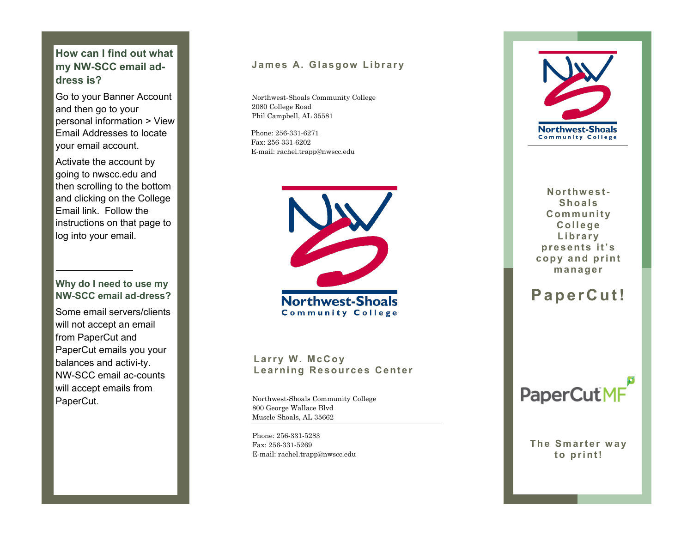#### **How can I find out what my NW -SCC email address is?**

Go to your Banner Account and then go to your personal information > View Email Addresses to locate your email account.

Activate the account by going to nwscc.edu and then scrolling to the bottom and clicking on the College Email link. Follow the instructions on that page to log into your email.

#### **Why do I need to use my NW -SCC email ad-dress?**

Some email servers/clients will not accept an email from PaperCut and PaperCut emails you your balances and activi-ty. NW -SCC email ac-counts will accept emails from PaperCut.

#### James A. Glasgow Library

Northwest-Shoals Community College 2080 College Road Phil Campbell, AL 35581

Phone: 256-331 -6271 Fax: 256-331 -6202 E-mail: rachel.trapp@nwscc.edu



Larry W. McCoy Learning Resources Center

Northwest-Shoals Community College 800 George Wallace Blvd Muscle Shoals, AL 35662

Phone: 256-331 -5283 Fax: 256-331 -5269 E-mail: rachel.trapp@nwscc.edu



**N o r t h w e s t - Shoals C om mun i t y C o l l e ge L i b r a r y p r e s e n t s i t ' s**  copy and print **m a n a g e r**

## **P a p e r C u t !**



**The Smarter way** to print!